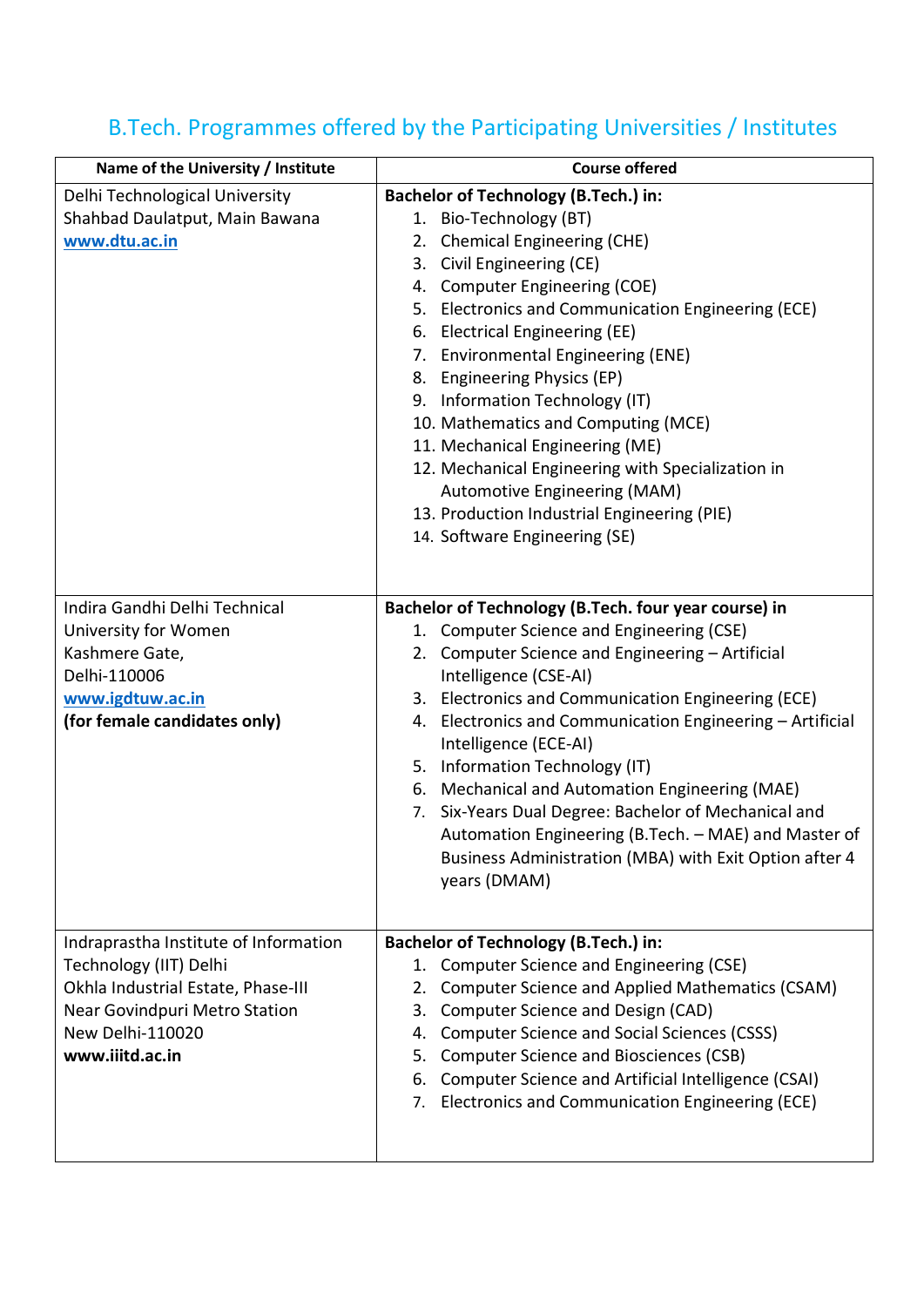## B.Tech. Programmes offered by the Participating Universities / Institutes

| Name of the University / Institute    | <b>Course offered</b>                                                              |
|---------------------------------------|------------------------------------------------------------------------------------|
| Delhi Technological University        | <b>Bachelor of Technology (B.Tech.) in:</b>                                        |
| Shahbad Daulatput, Main Bawana        | 1. Bio-Technology (BT)                                                             |
| www.dtu.ac.in                         | 2. Chemical Engineering (CHE)                                                      |
|                                       | 3. Civil Engineering (CE)                                                          |
|                                       | 4. Computer Engineering (COE)                                                      |
|                                       | 5. Electronics and Communication Engineering (ECE)                                 |
|                                       | 6. Electrical Engineering (EE)                                                     |
|                                       | 7. Environmental Engineering (ENE)                                                 |
|                                       | 8. Engineering Physics (EP)                                                        |
|                                       | 9. Information Technology (IT)                                                     |
|                                       | 10. Mathematics and Computing (MCE)                                                |
|                                       | 11. Mechanical Engineering (ME)                                                    |
|                                       | 12. Mechanical Engineering with Specialization in                                  |
|                                       | Automotive Engineering (MAM)                                                       |
|                                       | 13. Production Industrial Engineering (PIE)                                        |
|                                       | 14. Software Engineering (SE)                                                      |
|                                       |                                                                                    |
|                                       |                                                                                    |
| Indira Gandhi Delhi Technical         | Bachelor of Technology (B.Tech. four year course) in                               |
| University for Women                  | 1. Computer Science and Engineering (CSE)                                          |
| Kashmere Gate,                        | 2. Computer Science and Engineering - Artificial                                   |
| Delhi-110006                          | Intelligence (CSE-AI)                                                              |
| www.igdtuw.ac.in                      | 3. Electronics and Communication Engineering (ECE)                                 |
| (for female candidates only)          | 4. Electronics and Communication Engineering - Artificial<br>Intelligence (ECE-AI) |
|                                       | 5. Information Technology (IT)                                                     |
|                                       | 6. Mechanical and Automation Engineering (MAE)                                     |
|                                       | 7. Six-Years Dual Degree: Bachelor of Mechanical and                               |
|                                       | Automation Engineering (B.Tech. - MAE) and Master of                               |
|                                       | Business Administration (MBA) with Exit Option after 4                             |
|                                       | years (DMAM)                                                                       |
|                                       |                                                                                    |
|                                       |                                                                                    |
| Indraprastha Institute of Information | <b>Bachelor of Technology (B.Tech.) in:</b>                                        |
| Technology (IIT) Delhi                | 1. Computer Science and Engineering (CSE)                                          |
| Okhla Industrial Estate, Phase-III    | 2. Computer Science and Applied Mathematics (CSAM)                                 |
| Near Govindpuri Metro Station         | Computer Science and Design (CAD)<br>3.                                            |
| New Delhi-110020                      | <b>Computer Science and Social Sciences (CSSS)</b><br>4.                           |
| www.iiitd.ac.in                       | <b>Computer Science and Biosciences (CSB)</b><br>5.                                |
|                                       | 6. Computer Science and Artificial Intelligence (CSAI)                             |
|                                       | 7. Electronics and Communication Engineering (ECE)                                 |
|                                       |                                                                                    |
|                                       |                                                                                    |